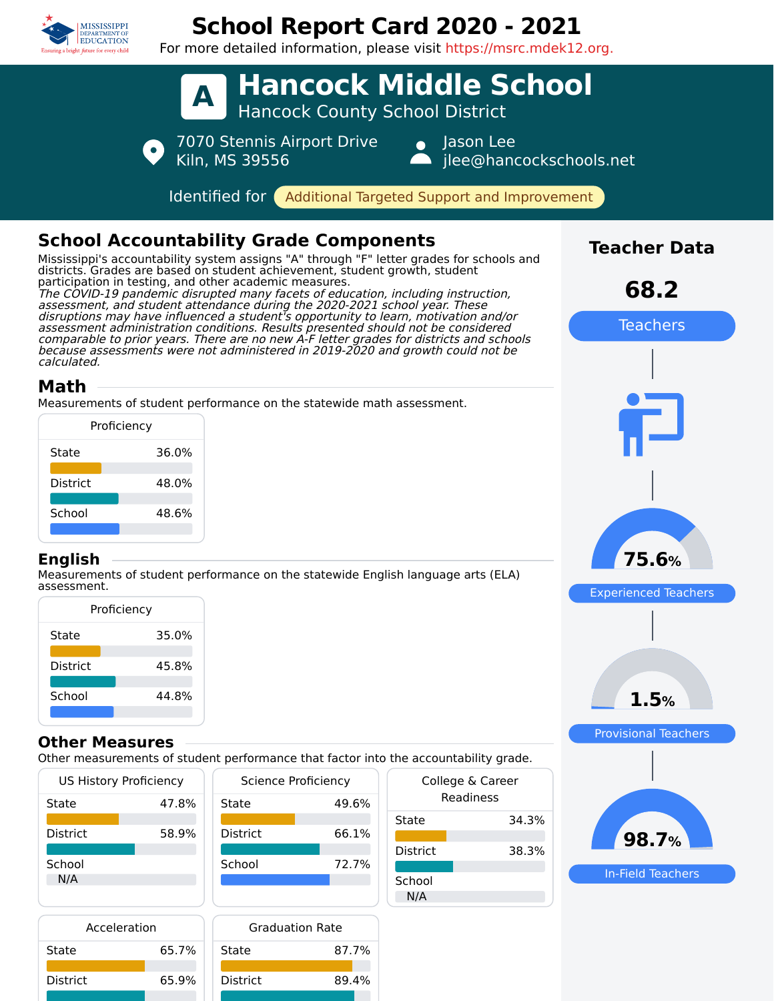

District 65.9%

District 89.4%

# **School Report Card 2020 - 2021**

For more detailed information, please visit https://msrc.mdek12.org.